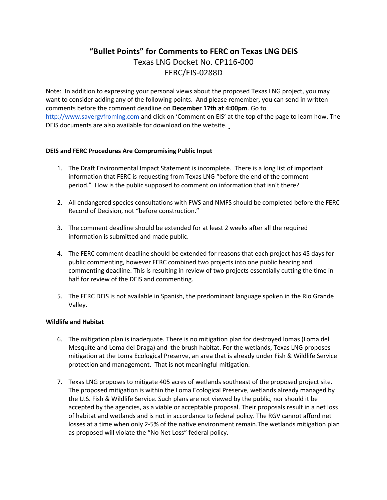# **"Bullet Points" for Comments to FERC on Texas LNG DEIS** Texas LNG Docket No. CP116-000 FERC/EIS-0288D

Note: In addition to expressing your personal views about the proposed Texas LNG project, you may want to consider adding any of the following points. And please remember, you can send in written comments before the comment deadline on **December 17th at 4:00pm**. Go to http://www.savergvfromlng.com and click on 'Comment on EIS' at the top of the page to learn how. The DEIS documents are also available for download on the website.

# **DEIS and FERC Procedures Are Compromising Public Input**

- 1. The Draft Environmental Impact Statement is incomplete. There is a long list of important information that FERC is requesting from Texas LNG "before the end of the comment period." How is the public supposed to comment on information that isn't there?
- 2. All endangered species consultations with FWS and NMFS should be completed before the FERC Record of Decision, not "before construction."
- 3. The comment deadline should be extended for at least 2 weeks after all the required information is submitted and made public.
- 4. The FERC comment deadline should be extended for reasons that each project has 45 days for public commenting, however FERC combined two projects into one public hearing and commenting deadline. This is resulting in review of two projects essentially cutting the time in half for review of the DEIS and commenting.
- 5. The FERC DEIS is not available in Spanish, the predominant language spoken in the Rio Grande Valley.

# **Wildlife and Habitat**

- 6. The mitigation plan is inadequate. There is no mitigation plan for destroyed lomas (Loma del Mesquite and Loma del Draga) and the brush habitat. For the wetlands, Texas LNG proposes mitigation at the Loma Ecological Preserve, an area that is already under Fish & Wildlife Service protection and management. That is not meaningful mitigation.
- 7. Texas LNG proposes to mitigate 405 acres of wetlands southeast of the proposed project site. The proposed mitigation is within the Loma Ecological Preserve, wetlands already managed by the U.S. Fish & Wildlife Service. Such plans are not viewed by the public, nor should it be accepted by the agencies, as a viable or acceptable proposal. Their proposals result in a net loss of habitat and wetlands and is not in accordance to federal policy. The RGV cannot afford net losses at a time when only 2-5% of the native environment remain.The wetlands mitigation plan as proposed will violate the "No Net Loss" federal policy.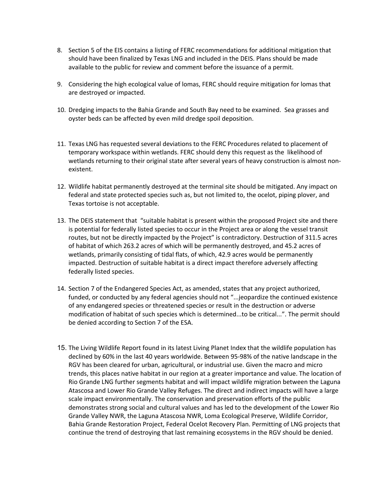- 8. Section 5 of the EIS contains a listing of FERC recommendations for additional mitigation that should have been finalized by Texas LNG and included in the DEIS. Plans should be made available to the public for review and comment before the issuance of a permit.
- 9. Considering the high ecological value of lomas, FERC should require mitigation for lomas that are destroyed or impacted.
- 10. Dredging impacts to the Bahia Grande and South Bay need to be examined. Sea grasses and oyster beds can be affected by even mild dredge spoil deposition.
- 11. Texas LNG has requested several deviations to the FERC Procedures related to placement of temporary workspace within wetlands. FERC should deny this request as the likelihood of wetlands returning to their original state after several years of heavy construction is almost nonexistent.
- 12. Wildlife habitat permanently destroyed at the terminal site should be mitigated. Any impact on federal and state protected species such as, but not limited to, the ocelot, piping plover, and Texas tortoise is not acceptable.
- 13. The DEIS statement that "suitable habitat is present within the proposed Project site and there is potential for federally listed species to occur in the Project area or along the vessel transit routes, but not be directly impacted by the Project" is contradictory. Destruction of 311.5 acres of habitat of which 263.2 acres of which will be permanently destroyed, and 45.2 acres of wetlands, primarily consisting of tidal flats, of which, 42.9 acres would be permanently impacted. Destruction of suitable habitat is a direct impact therefore adversely affecting federally listed species.
- 14. Section 7 of the Endangered Species Act, as amended, states that any project authorized, funded, or conducted by any federal agencies should not "...jeopardize the continued existence of any endangered species or threatened species or result in the destruction or adverse modification of habitat of such species which is determined...to be critical...". The permit should be denied according to Section 7 of the ESA.
- 15. The Living Wildlife Report found in its latest Living Planet Index that the wildlife population has declined by 60% in the last 40 years worldwide. Between 95-98% of the native landscape in the RGV has been cleared for urban, agricultural, or industrial use. Given the macro and micro trends, this places native habitat in our region at a greater importance and value. The location of Rio Grande LNG further segments habitat and will impact wildlife migration between the Laguna Atascosa and Lower Rio Grande Valley Refuges. The direct and indirect impacts will have a large scale impact environmentally. The conservation and preservation efforts of the public demonstrates strong social and cultural values and has led to the development of the Lower Rio Grande Valley NWR, the Laguna Atascosa NWR, Loma Ecological Preserve, Wildlife Corridor, Bahia Grande Restoration Project, Federal Ocelot Recovery Plan. Permitting of LNG projects that continue the trend of destroying that last remaining ecosystems in the RGV should be denied.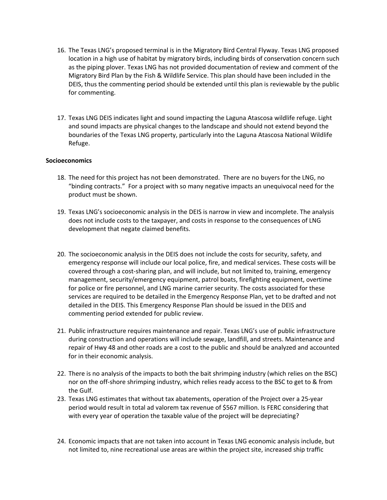- 16. The Texas LNG's proposed terminal is in the Migratory Bird Central Flyway. Texas LNG proposed location in a high use of habitat by migratory birds, including birds of conservation concern such as the piping plover. Texas LNG has not provided documentation of review and comment of the Migratory Bird Plan by the Fish & Wildlife Service. This plan should have been included in the DEIS, thus the commenting period should be extended until this plan is reviewable by the public for commenting.
- 17. Texas LNG DEIS indicates light and sound impacting the Laguna Atascosa wildlife refuge. Light and sound impacts are physical changes to the landscape and should not extend beyond the boundaries of the Texas LNG property, particularly into the Laguna Atascosa National Wildlife Refuge.

### **Socioeconomics**

- 18. The need for this project has not been demonstrated. There are no buyers for the LNG, no "binding contracts." For a project with so many negative impacts an unequivocal need for the product must be shown.
- 19. Texas LNG's socioeconomic analysis in the DEIS is narrow in view and incomplete. The analysis does not include costs to the taxpayer, and costs in response to the consequences of LNG development that negate claimed benefits.
- 20. The socioeconomic analysis in the DEIS does not include the costs for security, safety, and emergency response will include our local police, fire, and medical services. These costs will be covered through a cost-sharing plan, and will include, but not limited to, training, emergency management, security/emergency equipment, patrol boats, firefighting equipment, overtime for police or fire personnel, and LNG marine carrier security. The costs associated for these services are required to be detailed in the Emergency Response Plan, yet to be drafted and not detailed in the DEIS. This Emergency Response Plan should be issued in the DEIS and commenting period extended for public review.
- 21. Public infrastructure requires maintenance and repair. Texas LNG's use of public infrastructure during construction and operations will include sewage, landfill, and streets. Maintenance and repair of Hwy 48 and other roads are a cost to the public and should be analyzed and accounted for in their economic analysis.
- 22. There is no analysis of the impacts to both the bait shrimping industry (which relies on the BSC) nor on the off-shore shrimping industry, which relies ready access to the BSC to get to & from the Gulf.
- 23. Texas LNG estimates that without tax abatements, operation of the Project over a 25-year period would result in total ad valorem tax revenue of \$567 million. Is FERC considering that with every year of operation the taxable value of the project will be depreciating?
- 24. Economic impacts that are not taken into account in Texas LNG economic analysis include, but not limited to, nine recreational use areas are within the project site, increased ship traffic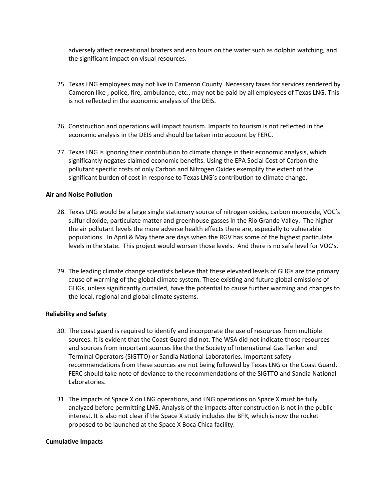adversely affect recreational boaters and eco tours on the water such as dolphin watching, and the significant impact on visual resources.

- 25. Texas LNG employees may not live in Cameron County. Necessary taxes for services rendered by Cameron like , police, fire, ambulance, etc., may not be paid by all employees of Texas LNG. This is not reflected in the economic analysis of the DEIS.
- 26. Construction and operations will impact tourism. Impacts to tourism is not reflected in the economic analysis in the DEIS and should be taken into account by FERC.
- 27. Texas LNG is ignoring their contribution to climate change in their economic analysis, which significantly negates claimed economic benefits. Using the EPA Social Cost of Carbon the pollutant specific costs of only Carbon and Nitrogen Oxides exemplify the extent of the significant burden of cost in response to Texas LNG's contribution to climate change.

### **Air and Noise Pollution**

- 28. Texas LNG would be a large single stationary source of nitrogen oxides, carbon monoxide, VOC's sulfur dioxide, particulate matter and greenhouse gasses in the Rio Grande Valley. The higher the air pollutant levels the more adverse health effects there are, especially to vulnerable populations. In April & May there are days when the RGV has some of the highest particulate levels in the state. This project would worsen those levels. And there is no safe level for VOC's.
- 29. The leading climate change scientists believe that these elevated levels of GHGs are the primary cause of warming of the global climate system. These existing and future global emissions of GHGs, unless significantly curtailed, have the potential to cause further warming and changes to the local, regional and global climate systems.

#### **Reliability and Safety**

- 30. The coast guard is required to identify and incorporate the use of resources from multiple sources. It is evident that the Coast Guard did not. The WSA did not indicate those resources and sources from important sources like the the Society of International Gas Tanker and Terminal Operators (SIGTTO) or Sandia National Laboratories. Important safety recommendations from these sources are not being followed by Texas LNG or the Coast Guard. FERC should take note of deviance to the recommendations of the SIGTTO and Sandia National Laboratories.
- 31. The impacts of Space X on LNG operations, and LNG operations on Space X must be fully analyzed before permitting LNG. Analysis of the impacts after construction is not in the public interest. It is also not clear if the Space X study includes the BFR, which is now the rocket proposed to be launched at the Space X Boca Chica facility.

#### **Cumulative Impacts**